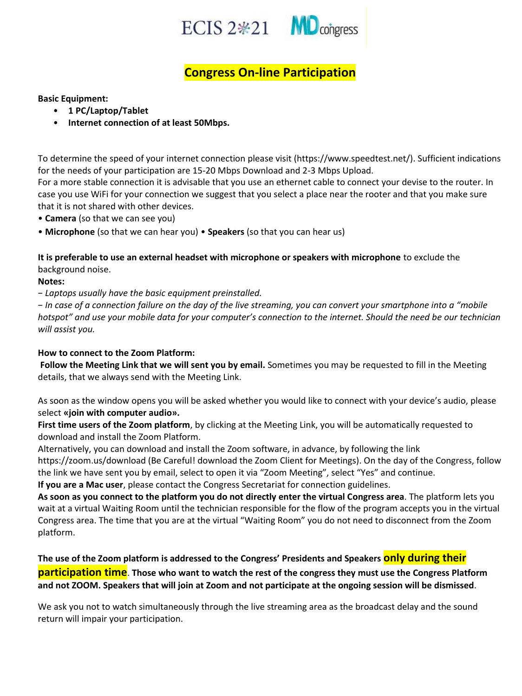



## **Congress On-line Participation**

## **Basic Equipment:**

- **1 PC/Laptop/Tablet**
- **Internet connection of at least 50Mbps.**

To determine the speed of your internet connection please visit (https://www.speedtest.net/). Sufficient indications for the needs of your participation are 15-20 Μbps Download and 2-3 Μbps Upload.

For a more stable connection it is advisable that you use an ethernet cable to connect your devise to the router. In case you use WiFi for your connection we suggest that you select a place near the rooter and that you make sure that it is not shared with other devices.

• **Camera** (so that we can see you)

• **Microphone** (so that we can hear you) • **Speakers** (so that you can hear us)

**It is preferable to use an external headset with microphone or speakers with microphone** to exclude the background noise.

**Notes:** 

− *Laptops usually have the basic equipment preinstalled.* 

− *In case of a connection failure on the day of the live streaming, you can convert your smartphone into a "mobile hotspot" and use your mobile data for your computer's connection to the internet. Should the need be our technician will assist you.* 

## **How to connect to the Zoom Platform:**

**Follow the Meeting Link that we will sent you by email.** Sometimes you may be requested to fill in the Meeting details, that we always send with the Meeting Link.

As soon as the window opens you will be asked whether you would like to connect with your device's audio, please select **«join with computer audio».** 

**First time users of the Zoom platform**, by clicking at the Meeting Link, you will be automatically requested to download and install the Zoom Platform.

Alternatively, you can download and install the Zoom software, in advance, by following the link https://zoom.us/download (Be Careful! download the Zoom Client for Meetings). On the day of the Congress, follow the link we have sent you by email, select to open it via "Zoom Meeting", select "Yes" and continue.

**If you are a Mac user**, please contact the Congress Secretariat for connection guidelines.

**As soon as you connect to the platform you do not directly enter the virtual Congress area**. The platform lets you wait at a virtual Waiting Room until the technician responsible for the flow of the program accepts you in the virtual Congress area. The time that you are at the virtual "Waiting Room" you do not need to disconnect from the Zoom platform.

**The use of the Zoom platform is addressed to the Congress' Presidents and Speakers only during their participation time**. **Those who want to watch the rest of the congress they must use the Congress Platform and not ZOOM. Speakers that will join at Zoom and not participate at the ongoing session will be dismissed**.

We ask you not to watch simultaneously through the live streaming area as the broadcast delay and the sound return will impair your participation.